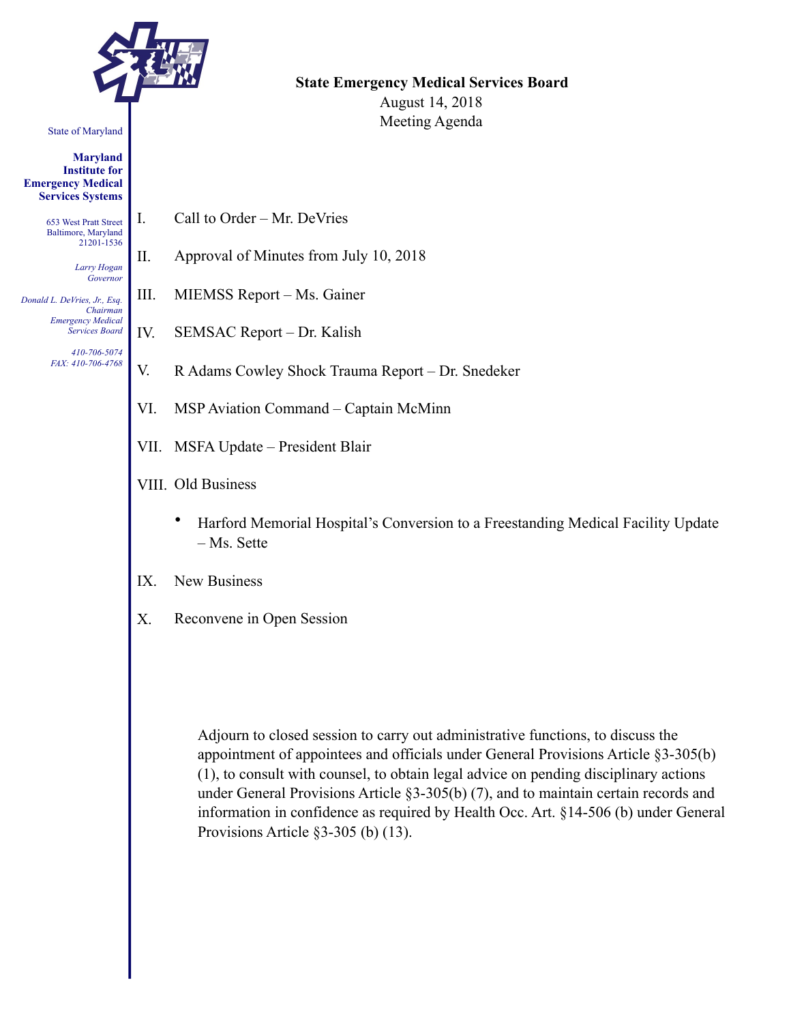

#### State of Maryland

**Maryland Institute for Emergency Medical Services Systems** 

> 653 West Pratt Street Baltimore, Maryland 21201-1536

> > *Larry Hogan Governor*

*Donald L. DeVries, Jr., Esq. Chairman Emergency Medical Services Board* 

> *410-706-5074 FAX: 410-706-4768*

**State Emergency Medical Services Board**  August 14, 2018 Meeting Agenda

- I. Call to Order Mr. DeVries
- II. Approval of Minutes from July 10, 2018
- III. MIEMSS Report Ms. Gainer
- IV. SEMSAC Report Dr. Kalish
- V. R Adams Cowley Shock Trauma Report Dr. Snedeker
- VI. MSP Aviation Command Captain McMinn
- VII. MSFA Update President Blair
- VIII. Old Business
	- Harford Memorial Hospital's Conversion to a Freestanding Medical Facility Update – Ms. Sette
- IX. New Business
- X. Reconvene in Open Session

Adjourn to closed session to carry out administrative functions, to discuss the appointment of appointees and officials under General Provisions Article §3-305(b) (1), to consult with counsel, to obtain legal advice on pending disciplinary actions under General Provisions Article §3-305(b) (7), and to maintain certain records and information in confidence as required by Health Occ. Art. §14-506 (b) under General Provisions Article §3-305 (b) (13).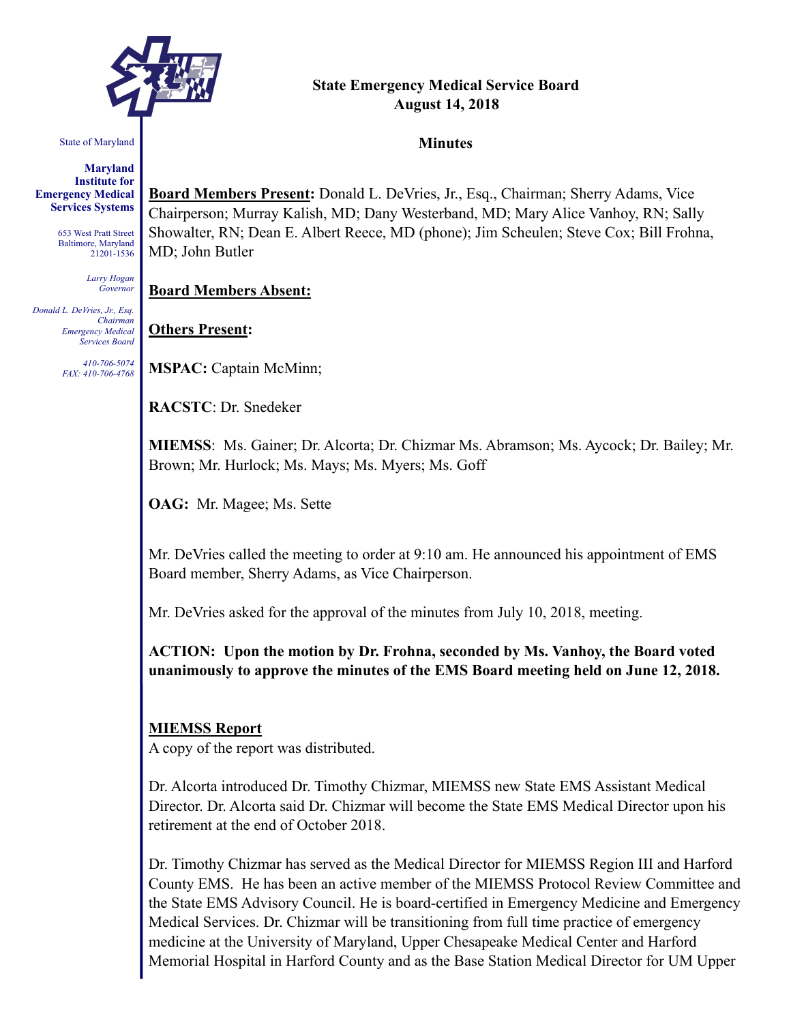

# **State Emergency Medical Service Board August 14, 2018**

#### State of Maryland

**Maryland Institute for Emergency Medical Services Systems** 

> 653 West Pratt Street Baltimore, Maryland 21201-1536

> > *Larry Hogan Governor*

*Donald L. DeVries, Jr., Esq. Chairman Emergency Medical Services Board* 

> *410-706-5074 FAX: 410-706-4768*

**Minutes** 

**Board Members Present:** Donald L. DeVries, Jr., Esq., Chairman; Sherry Adams, Vice Chairperson; Murray Kalish, MD; Dany Westerband, MD; Mary Alice Vanhoy, RN; Sally Showalter, RN; Dean E. Albert Reece, MD (phone); Jim Scheulen; Steve Cox; Bill Frohna, MD; John Butler

**Board Members Absent:**

## **Others Present:**

**MSPAC:** Captain McMinn;

**RACSTC**: Dr. Snedeker

**MIEMSS**: Ms. Gainer; Dr. Alcorta; Dr. Chizmar Ms. Abramson; Ms. Aycock; Dr. Bailey; Mr. Brown; Mr. Hurlock; Ms. Mays; Ms. Myers; Ms. Goff

**OAG:** Mr. Magee; Ms. Sette

Mr. DeVries called the meeting to order at 9:10 am. He announced his appointment of EMS Board member, Sherry Adams, as Vice Chairperson.

Mr. DeVries asked for the approval of the minutes from July 10, 2018, meeting.

**ACTION: Upon the motion by Dr. Frohna, seconded by Ms. Vanhoy, the Board voted unanimously to approve the minutes of the EMS Board meeting held on June 12, 2018.** 

#### **MIEMSS Report**

A copy of the report was distributed.

Dr. Alcorta introduced Dr. Timothy Chizmar, MIEMSS new State EMS Assistant Medical Director. Dr. Alcorta said Dr. Chizmar will become the State EMS Medical Director upon his retirement at the end of October 2018.

Dr. Timothy Chizmar has served as the Medical Director for MIEMSS Region III and Harford County EMS. He has been an active member of the MIEMSS Protocol Review Committee and the State EMS Advisory Council. He is board-certified in Emergency Medicine and Emergency Medical Services. Dr. Chizmar will be transitioning from full time practice of emergency medicine at the University of Maryland, Upper Chesapeake Medical Center and Harford Memorial Hospital in Harford County and as the Base Station Medical Director for UM Upper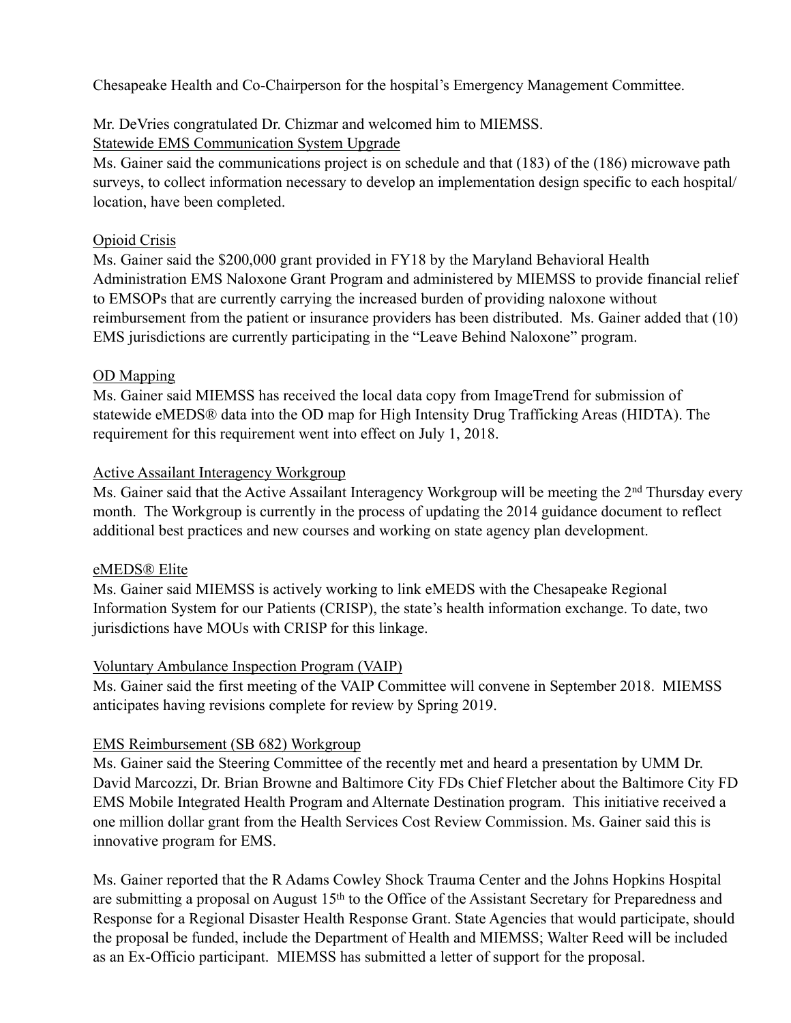Chesapeake Health and Co-Chairperson for the hospital's Emergency Management Committee.

# Mr. DeVries congratulated Dr. Chizmar and welcomed him to MIEMSS.

Statewide EMS Communication System Upgrade

Ms. Gainer said the communications project is on schedule and that (183) of the (186) microwave path surveys, to collect information necessary to develop an implementation design specific to each hospital/ location, have been completed.

# Opioid Crisis

Ms. Gainer said the \$200,000 grant provided in FY18 by the Maryland Behavioral Health Administration EMS Naloxone Grant Program and administered by MIEMSS to provide financial relief to EMSOPs that are currently carrying the increased burden of providing naloxone without reimbursement from the patient or insurance providers has been distributed. Ms. Gainer added that (10) EMS jurisdictions are currently participating in the "Leave Behind Naloxone" program.

# OD Mapping

Ms. Gainer said MIEMSS has received the local data copy from ImageTrend for submission of statewide eMEDS® data into the OD map for High Intensity Drug Trafficking Areas (HIDTA). The requirement for this requirement went into effect on July 1, 2018.

# Active Assailant Interagency Workgroup

Ms. Gainer said that the Active Assailant Interagency Workgroup will be meeting the 2<sup>nd</sup> Thursday every month. The Workgroup is currently in the process of updating the 2014 guidance document to reflect additional best practices and new courses and working on state agency plan development.

## eMEDS® Elite

Ms. Gainer said MIEMSS is actively working to link eMEDS with the Chesapeake Regional Information System for our Patients (CRISP), the state's health information exchange. To date, two jurisdictions have MOUs with CRISP for this linkage.

## Voluntary Ambulance Inspection Program (VAIP)

Ms. Gainer said the first meeting of the VAIP Committee will convene in September 2018. MIEMSS anticipates having revisions complete for review by Spring 2019.

# EMS Reimbursement (SB 682) Workgroup

Ms. Gainer said the Steering Committee of the recently met and heard a presentation by UMM Dr. David Marcozzi, Dr. Brian Browne and Baltimore City FDs Chief Fletcher about the Baltimore City FD EMS Mobile Integrated Health Program and Alternate Destination program. This initiative received a one million dollar grant from the Health Services Cost Review Commission. Ms. Gainer said this is innovative program for EMS.

Ms. Gainer reported that the R Adams Cowley Shock Trauma Center and the Johns Hopkins Hospital are submitting a proposal on August 15<sup>th</sup> to the Office of the Assistant Secretary for Preparedness and Response for a Regional Disaster Health Response Grant. State Agencies that would participate, should the proposal be funded, include the Department of Health and MIEMSS; Walter Reed will be included as an Ex-Officio participant. MIEMSS has submitted a letter of support for the proposal.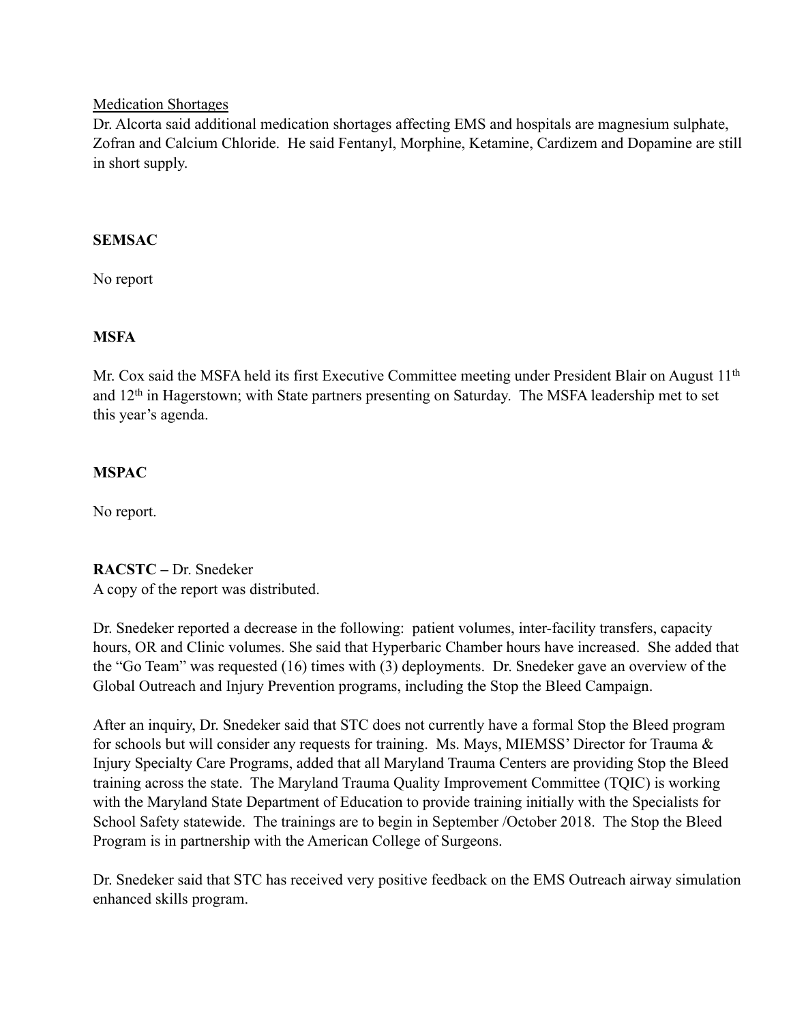#### Medication Shortages

Dr. Alcorta said additional medication shortages affecting EMS and hospitals are magnesium sulphate, Zofran and Calcium Chloride. He said Fentanyl, Morphine, Ketamine, Cardizem and Dopamine are still in short supply.

## **SEMSAC**

No report

# **MSFA**

Mr. Cox said the MSFA held its first Executive Committee meeting under President Blair on August 11<sup>th</sup> and 12th in Hagerstown; with State partners presenting on Saturday. The MSFA leadership met to set this year's agenda.

# **MSPAC**

No report.

# **RACSTC –** Dr. Snedeker

A copy of the report was distributed.

Dr. Snedeker reported a decrease in the following: patient volumes, inter-facility transfers, capacity hours, OR and Clinic volumes. She said that Hyperbaric Chamber hours have increased. She added that the "Go Team" was requested (16) times with (3) deployments. Dr. Snedeker gave an overview of the Global Outreach and Injury Prevention programs, including the Stop the Bleed Campaign.

After an inquiry, Dr. Snedeker said that STC does not currently have a formal Stop the Bleed program for schools but will consider any requests for training. Ms. Mays, MIEMSS' Director for Trauma & Injury Specialty Care Programs, added that all Maryland Trauma Centers are providing Stop the Bleed training across the state. The Maryland Trauma Quality Improvement Committee (TQIC) is working with the Maryland State Department of Education to provide training initially with the Specialists for School Safety statewide. The trainings are to begin in September /October 2018. The Stop the Bleed Program is in partnership with the American College of Surgeons.

Dr. Snedeker said that STC has received very positive feedback on the EMS Outreach airway simulation enhanced skills program.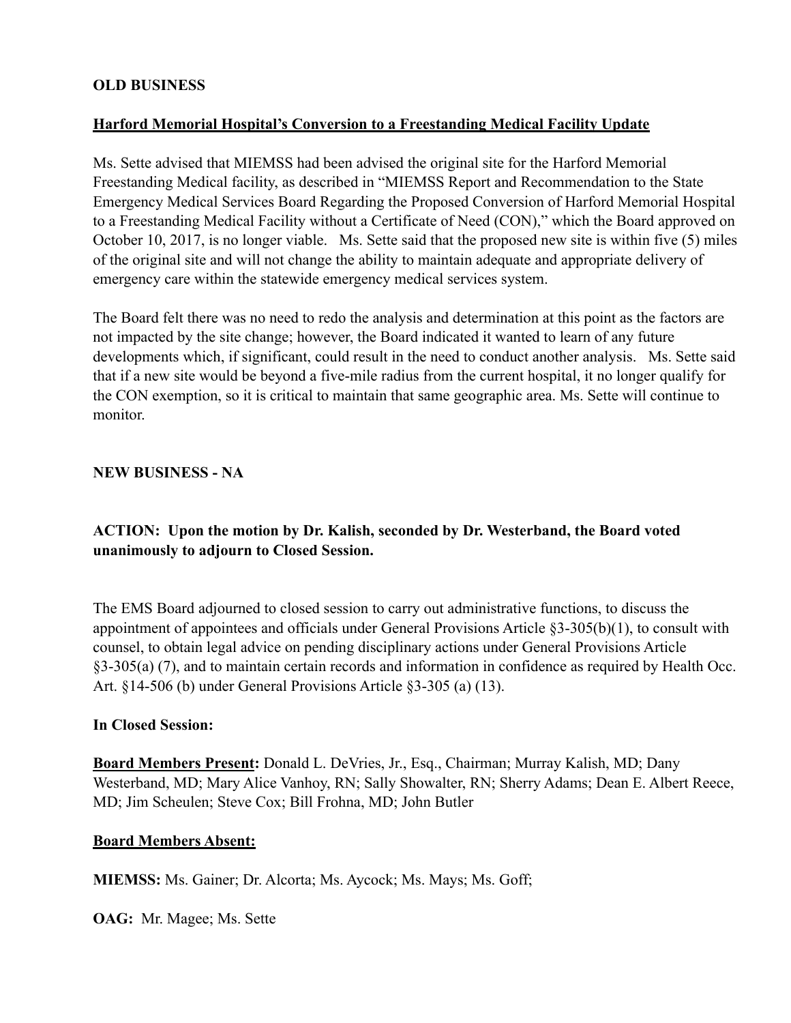# **OLD BUSINESS**

## **Harford Memorial Hospital's Conversion to a Freestanding Medical Facility Update**

Ms. Sette advised that MIEMSS had been advised the original site for the Harford Memorial Freestanding Medical facility, as described in "MIEMSS Report and Recommendation to the State Emergency Medical Services Board Regarding the Proposed Conversion of Harford Memorial Hospital to a Freestanding Medical Facility without a Certificate of Need (CON)," which the Board approved on October 10, 2017, is no longer viable. Ms. Sette said that the proposed new site is within five (5) miles of the original site and will not change the ability to maintain adequate and appropriate delivery of emergency care within the statewide emergency medical services system.

The Board felt there was no need to redo the analysis and determination at this point as the factors are not impacted by the site change; however, the Board indicated it wanted to learn of any future developments which, if significant, could result in the need to conduct another analysis. Ms. Sette said that if a new site would be beyond a five-mile radius from the current hospital, it no longer qualify for the CON exemption, so it is critical to maintain that same geographic area. Ms. Sette will continue to monitor.

#### **NEW BUSINESS - NA**

# **ACTION: Upon the motion by Dr. Kalish, seconded by Dr. Westerband, the Board voted unanimously to adjourn to Closed Session.**

The EMS Board adjourned to closed session to carry out administrative functions, to discuss the appointment of appointees and officials under General Provisions Article §3-305(b)(1), to consult with counsel, to obtain legal advice on pending disciplinary actions under General Provisions Article §3-305(a) (7), and to maintain certain records and information in confidence as required by Health Occ. Art. §14-506 (b) under General Provisions Article §3-305 (a) (13).

#### **In Closed Session:**

**Board Members Present:** Donald L. DeVries, Jr., Esq., Chairman; Murray Kalish, MD; Dany Westerband, MD; Mary Alice Vanhoy, RN; Sally Showalter, RN; Sherry Adams; Dean E. Albert Reece, MD; Jim Scheulen; Steve Cox; Bill Frohna, MD; John Butler

#### **Board Members Absent:**

**MIEMSS:** Ms. Gainer; Dr. Alcorta; Ms. Aycock; Ms. Mays; Ms. Goff;

**OAG:** Mr. Magee; Ms. Sette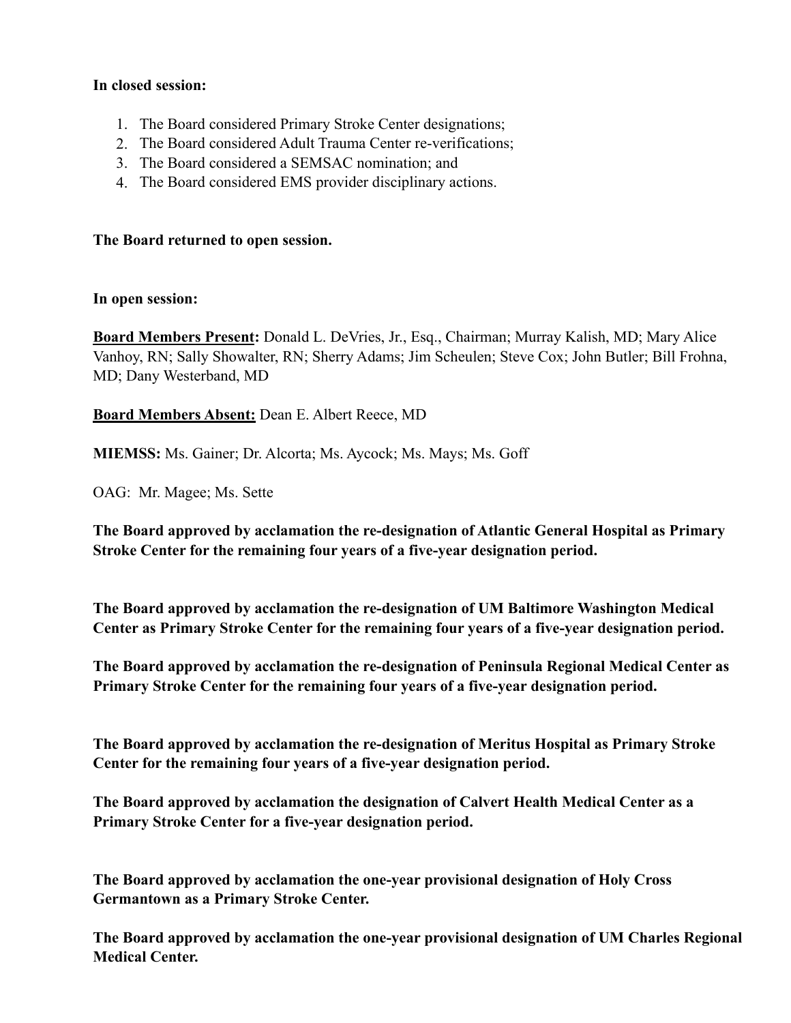## **In closed session:**

- 1. The Board considered Primary Stroke Center designations;
- 2. The Board considered Adult Trauma Center re-verifications;
- 3. The Board considered a SEMSAC nomination; and
- 4. The Board considered EMS provider disciplinary actions.

#### **The Board returned to open session.**

#### **In open session:**

**Board Members Present:** Donald L. DeVries, Jr., Esq., Chairman; Murray Kalish, MD; Mary Alice Vanhoy, RN; Sally Showalter, RN; Sherry Adams; Jim Scheulen; Steve Cox; John Butler; Bill Frohna, MD; Dany Westerband, MD

## **Board Members Absent:** Dean E. Albert Reece, MD

**MIEMSS:** Ms. Gainer; Dr. Alcorta; Ms. Aycock; Ms. Mays; Ms. Goff

OAG: Mr. Magee; Ms. Sette

**The Board approved by acclamation the re-designation of Atlantic General Hospital as Primary Stroke Center for the remaining four years of a five-year designation period.** 

**The Board approved by acclamation the re-designation of UM Baltimore Washington Medical Center as Primary Stroke Center for the remaining four years of a five-year designation period.** 

**The Board approved by acclamation the re-designation of Peninsula Regional Medical Center as Primary Stroke Center for the remaining four years of a five-year designation period.** 

**The Board approved by acclamation the re-designation of Meritus Hospital as Primary Stroke Center for the remaining four years of a five-year designation period.** 

**The Board approved by acclamation the designation of Calvert Health Medical Center as a Primary Stroke Center for a five-year designation period.** 

**The Board approved by acclamation the one-year provisional designation of Holy Cross Germantown as a Primary Stroke Center.** 

**The Board approved by acclamation the one-year provisional designation of UM Charles Regional Medical Center.**